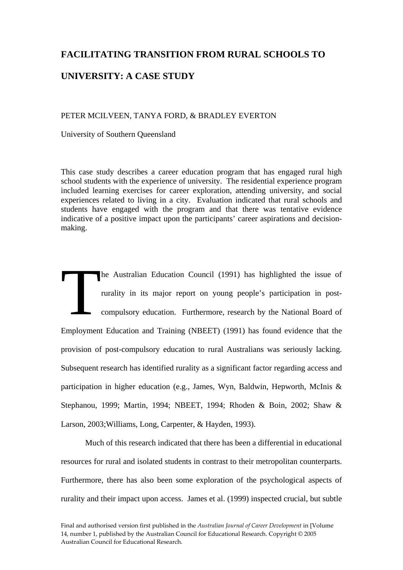## **FACILITATING TRANSITION FROM RURAL SCHOOLS TO**

## **UNIVERSITY: A CASE STUDY**

#### PETER MCILVEEN, TANYA FORD, & BRADLEY EVERTON

University of Southern Queensland

This case study describes a career education program that has engaged rural high school students with the experience of university. The residential experience program included learning exercises for career exploration, attending university, and social experiences related to living in a city. Evaluation indicated that rural schools and students have engaged with the program and that there was tentative evidence indicative of a positive impact upon the participants' career aspirations and decisionmaking.

he Australian Education Council (1991) has highlighted the issue of rurality in its major report on young people's participation in postcompulsory education. Furthermore, research by the National Board of Employment Education and Training (NBEET) (1991) has found evidence that the provision of post-compulsory education to rural Australians was seriously lacking. Subsequent research has identified rurality as a significant factor regarding access and participation in higher education (e.g., James, Wyn, Baldwin, Hepworth, McInis & Stephanou, 1999; Martin, 1994; NBEET, 1994; Rhoden & Boin, 2002; Shaw & Larson, 2003;Williams, Long, Carpenter, & Hayden, 1993). he A

 Much of this research indicated that there has been a differential in educational resources for rural and isolated students in contrast to their metropolitan counterparts. Furthermore, there has also been some exploration of the psychological aspects of rurality and their impact upon access. James et al. (1999) inspected crucial, but subtle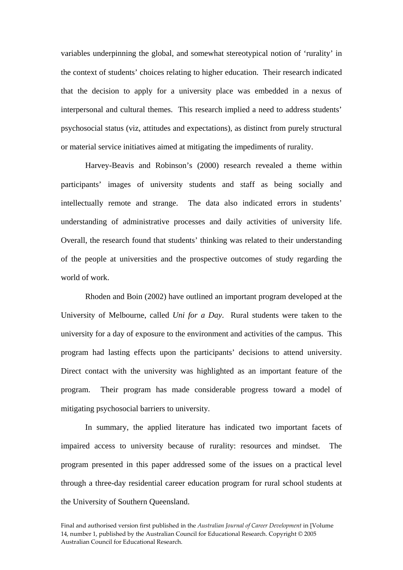variables underpinning the global, and somewhat stereotypical notion of 'rurality' in the context of students' choices relating to higher education. Their research indicated that the decision to apply for a university place was embedded in a nexus of interpersonal and cultural themes. This research implied a need to address students' psychosocial status (viz, attitudes and expectations), as distinct from purely structural or material service initiatives aimed at mitigating the impediments of rurality.

Harvey-Beavis and Robinson's (2000) research revealed a theme within participants' images of university students and staff as being socially and intellectually remote and strange. The data also indicated errors in students' understanding of administrative processes and daily activities of university life. Overall, the research found that students' thinking was related to their understanding of the people at universities and the prospective outcomes of study regarding the world of work.

Rhoden and Boin (2002) have outlined an important program developed at the University of Melbourne, called *Uni for a Day*. Rural students were taken to the university for a day of exposure to the environment and activities of the campus. This program had lasting effects upon the participants' decisions to attend university. Direct contact with the university was highlighted as an important feature of the program. Their program has made considerable progress toward a model of mitigating psychosocial barriers to university.

In summary, the applied literature has indicated two important facets of impaired access to university because of rurality: resources and mindset. The program presented in this paper addressed some of the issues on a practical level through a three-day residential career education program for rural school students at the University of Southern Queensland.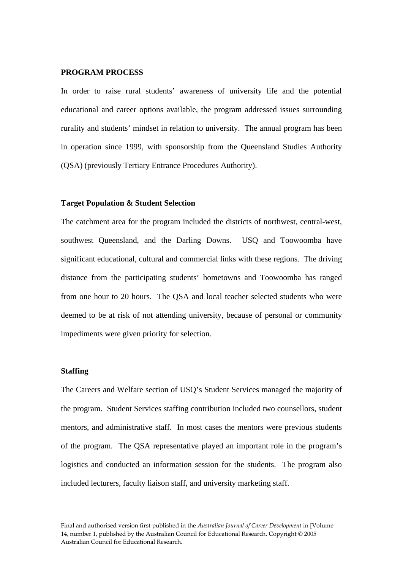#### **PROGRAM PROCESS**

In order to raise rural students' awareness of university life and the potential educational and career options available, the program addressed issues surrounding rurality and students' mindset in relation to university. The annual program has been in operation since 1999, with sponsorship from the Queensland Studies Authority (QSA) (previously Tertiary Entrance Procedures Authority).

#### **Target Population & Student Selection**

The catchment area for the program included the districts of northwest, central-west, southwest Queensland, and the Darling Downs. USQ and Toowoomba have significant educational, cultural and commercial links with these regions. The driving distance from the participating students' hometowns and Toowoomba has ranged from one hour to 20 hours. The QSA and local teacher selected students who were deemed to be at risk of not attending university, because of personal or community impediments were given priority for selection.

#### **Staffing**

The Careers and Welfare section of USQ's Student Services managed the majority of the program. Student Services staffing contribution included two counsellors, student mentors, and administrative staff. In most cases the mentors were previous students of the program. The QSA representative played an important role in the program's logistics and conducted an information session for the students. The program also included lecturers, faculty liaison staff, and university marketing staff.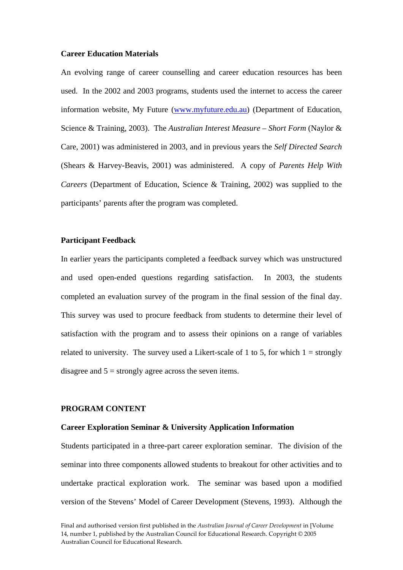#### **Career Education Materials**

An evolving range of career counselling and career education resources has been used. In the 2002 and 2003 programs, students used the internet to access the career information website, My Future (www.myfuture.edu.au) (Department of Education, Science & Training, 2003). The *Australian Interest Measure – Short Form* (Naylor & Care, 2001) was administered in 2003, and in previous years the *Self Directed Search* (Shears & Harvey-Beavis, 2001) was administered. A copy of *Parents Help With Careers* (Department of Education, Science & Training, 2002) was supplied to the participants' parents after the program was completed.

## **Participant Feedback**

In earlier years the participants completed a feedback survey which was unstructured and used open-ended questions regarding satisfaction. In 2003, the students completed an evaluation survey of the program in the final session of the final day. This survey was used to procure feedback from students to determine their level of satisfaction with the program and to assess their opinions on a range of variables related to university. The survey used a Likert-scale of 1 to 5, for which  $1 =$  strongly disagree and  $5 =$  strongly agree across the seven items.

#### **PROGRAM CONTENT**

#### **Career Exploration Seminar & University Application Information**

Students participated in a three-part career exploration seminar. The division of the seminar into three components allowed students to breakout for other activities and to undertake practical exploration work. The seminar was based upon a modified version of the Stevens' Model of Career Development (Stevens, 1993). Although the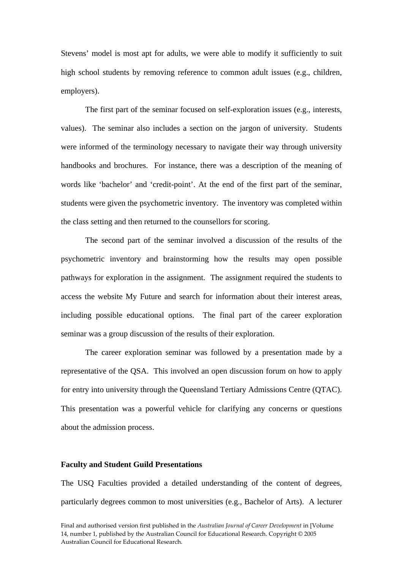Stevens' model is most apt for adults, we were able to modify it sufficiently to suit high school students by removing reference to common adult issues (e.g., children, employers).

The first part of the seminar focused on self-exploration issues (e.g., interests, values). The seminar also includes a section on the jargon of university. Students were informed of the terminology necessary to navigate their way through university handbooks and brochures. For instance, there was a description of the meaning of words like 'bachelor' and 'credit-point'. At the end of the first part of the seminar, students were given the psychometric inventory. The inventory was completed within the class setting and then returned to the counsellors for scoring.

The second part of the seminar involved a discussion of the results of the psychometric inventory and brainstorming how the results may open possible pathways for exploration in the assignment. The assignment required the students to access the website My Future and search for information about their interest areas, including possible educational options. The final part of the career exploration seminar was a group discussion of the results of their exploration.

The career exploration seminar was followed by a presentation made by a representative of the QSA. This involved an open discussion forum on how to apply for entry into university through the Queensland Tertiary Admissions Centre (QTAC). This presentation was a powerful vehicle for clarifying any concerns or questions about the admission process.

#### **Faculty and Student Guild Presentations**

The USQ Faculties provided a detailed understanding of the content of degrees, particularly degrees common to most universities (e.g., Bachelor of Arts). A lecturer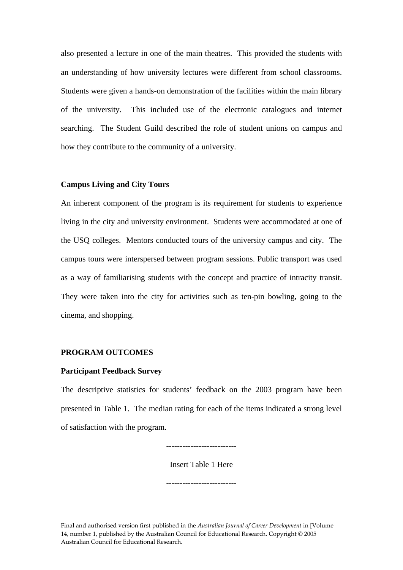also presented a lecture in one of the main theatres. This provided the students with an understanding of how university lectures were different from school classrooms. Students were given a hands-on demonstration of the facilities within the main library of the university. This included use of the electronic catalogues and internet searching. The Student Guild described the role of student unions on campus and how they contribute to the community of a university.

#### **Campus Living and City Tours**

An inherent component of the program is its requirement for students to experience living in the city and university environment. Students were accommodated at one of the USQ colleges. Mentors conducted tours of the university campus and city. The campus tours were interspersed between program sessions. Public transport was used as a way of familiarising students with the concept and practice of intracity transit. They were taken into the city for activities such as ten-pin bowling, going to the cinema, and shopping.

## **PROGRAM OUTCOMES**

#### **Participant Feedback Survey**

The descriptive statistics for students' feedback on the 2003 program have been presented in Table 1. The median rating for each of the items indicated a strong level of satisfaction with the program.

--------------------------

Insert Table 1 Here

--------------------------

Final and authorised version first published in the *Australian Journal of Career Development* in [Volume 14, number 1, published by the Australian Council for Educational Research. Copyright © 2005 Australian Council for Educational Research.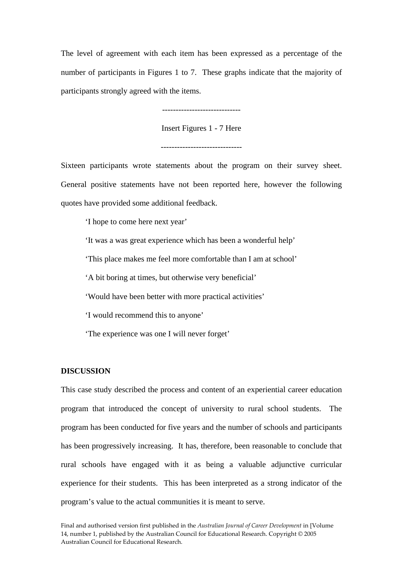The level of agreement with each item has been expressed as a percentage of the number of participants in Figures 1 to 7. These graphs indicate that the majority of participants strongly agreed with the items.

-----------------------------

Insert Figures 1 - 7 Here

------------------------------

Sixteen participants wrote statements about the program on their survey sheet. General positive statements have not been reported here, however the following quotes have provided some additional feedback.

'I hope to come here next year'

'It was a was great experience which has been a wonderful help'

'This place makes me feel more comfortable than I am at school'

'A bit boring at times, but otherwise very beneficial'

'Would have been better with more practical activities'

'I would recommend this to anyone'

'The experience was one I will never forget'

#### **DISCUSSION**

This case study described the process and content of an experiential career education program that introduced the concept of university to rural school students. The program has been conducted for five years and the number of schools and participants has been progressively increasing. It has, therefore, been reasonable to conclude that rural schools have engaged with it as being a valuable adjunctive curricular experience for their students. This has been interpreted as a strong indicator of the program's value to the actual communities it is meant to serve.

Final and authorised version first published in the *Australian Journal of Career Development* in [Volume 14, number 1, published by the Australian Council for Educational Research. Copyright © 2005 Australian Council for Educational Research.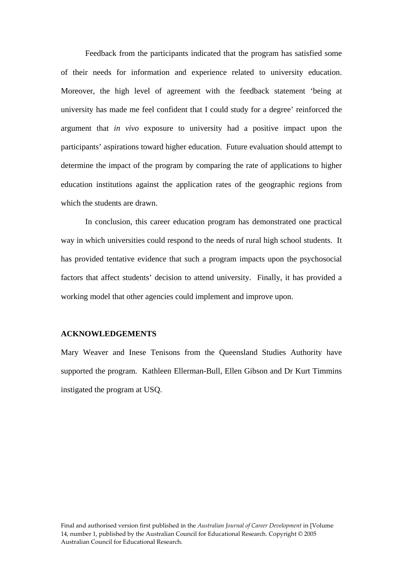Feedback from the participants indicated that the program has satisfied some of their needs for information and experience related to university education. Moreover, the high level of agreement with the feedback statement 'being at university has made me feel confident that I could study for a degree' reinforced the argument that *in vivo* exposure to university had a positive impact upon the participants' aspirations toward higher education. Future evaluation should attempt to determine the impact of the program by comparing the rate of applications to higher education institutions against the application rates of the geographic regions from which the students are drawn.

 In conclusion, this career education program has demonstrated one practical way in which universities could respond to the needs of rural high school students. It has provided tentative evidence that such a program impacts upon the psychosocial factors that affect students' decision to attend university. Finally, it has provided a working model that other agencies could implement and improve upon.

## **ACKNOWLEDGEMENTS**

Mary Weaver and Inese Tenisons from the Queensland Studies Authority have supported the program. Kathleen Ellerman-Bull, Ellen Gibson and Dr Kurt Timmins instigated the program at USQ.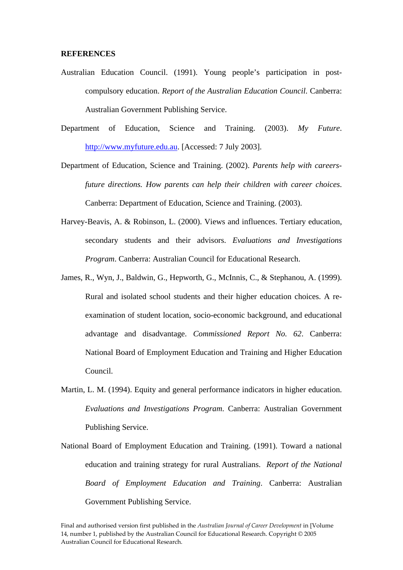#### **REFERENCES**

Australian Education Council. (1991). Young people's participation in postcompulsory education. *Report of the Australian Education Council*. Canberra: Australian Government Publishing Service.

Department of Education, Science and Training. (2003). *My Future*. http://www.myfuture.edu.au. [Accessed: 7 July 2003].

- Department of Education, Science and Training. (2002). *Parents help with careersfuture directions. How parents can help their children with career choices*. Canberra: Department of Education, Science and Training. (2003).
- Harvey-Beavis, A. & Robinson, L. (2000). Views and influences. Tertiary education, secondary students and their advisors. *Evaluations and Investigations Program*. Canberra: Australian Council for Educational Research.
- James, R., Wyn, J., Baldwin, G., Hepworth, G., McInnis, C., & Stephanou, A. (1999). Rural and isolated school students and their higher education choices. A reexamination of student location, socio-economic background, and educational advantage and disadvantage. *Commissioned Report No. 62*. Canberra: National Board of Employment Education and Training and Higher Education Council.
- Martin, L. M. (1994). Equity and general performance indicators in higher education. *Evaluations and Investigations Program*. Canberra: Australian Government Publishing Service.
- National Board of Employment Education and Training. (1991). Toward a national education and training strategy for rural Australians. *Report of the National Board of Employment Education and Training*. Canberra: Australian Government Publishing Service.

Final and authorised version first published in the *Australian Journal of Career Development* in [Volume 14, number 1, published by the Australian Council for Educational Research. Copyright © 2005 Australian Council for Educational Research.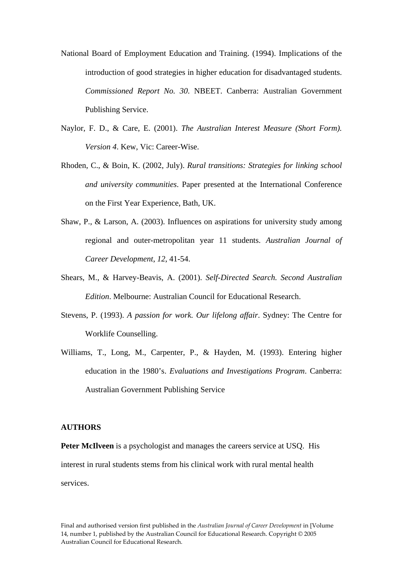- National Board of Employment Education and Training. (1994). Implications of the introduction of good strategies in higher education for disadvantaged students. *Commissioned Report No. 30*. NBEET. Canberra: Australian Government Publishing Service.
- Naylor, F. D., & Care, E. (2001). *The Australian Interest Measure (Short Form). Version 4*. Kew, Vic: Career-Wise.
- Rhoden, C., & Boin, K. (2002, July). *Rural transitions: Strategies for linking school and university communities*. Paper presented at the International Conference on the First Year Experience, Bath, UK.
- Shaw, P., & Larson, A. (2003). Influences on aspirations for university study among regional and outer-metropolitan year 11 students. *Australian Journal of Career Development*, *12*, 41-54.
- Shears, M., & Harvey-Beavis, A. (2001). *Self-Directed Search. Second Australian Edition*. Melbourne: Australian Council for Educational Research.
- Stevens, P. (1993). *A passion for work. Our lifelong affair*. Sydney: The Centre for Worklife Counselling.
- Williams, T., Long, M., Carpenter, P., & Hayden, M. (1993). Entering higher education in the 1980's. *Evaluations and Investigations Program*. Canberra: Australian Government Publishing Service

## **AUTHORS**

**Peter McIlveen** is a psychologist and manages the careers service at USQ. His interest in rural students stems from his clinical work with rural mental health services.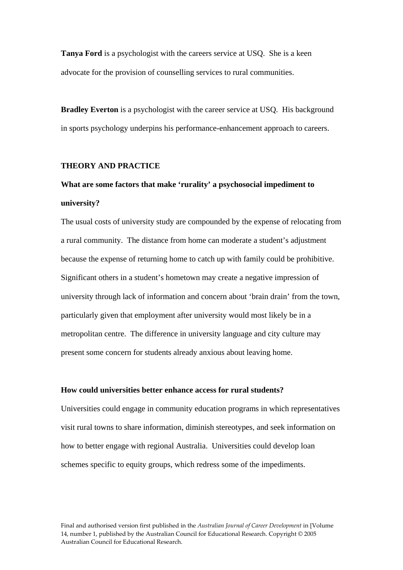**Tanya Ford** is a psychologist with the careers service at USQ. She is a keen advocate for the provision of counselling services to rural communities.

**Bradley Everton** is a psychologist with the career service at USO. His background in sports psychology underpins his performance-enhancement approach to careers.

#### **THEORY AND PRACTICE**

## **What are some factors that make 'rurality' a psychosocial impediment to university?**

The usual costs of university study are compounded by the expense of relocating from a rural community. The distance from home can moderate a student's adjustment because the expense of returning home to catch up with family could be prohibitive. Significant others in a student's hometown may create a negative impression of university through lack of information and concern about 'brain drain' from the town, particularly given that employment after university would most likely be in a metropolitan centre. The difference in university language and city culture may present some concern for students already anxious about leaving home.

## **How could universities better enhance access for rural students?**

Universities could engage in community education programs in which representatives visit rural towns to share information, diminish stereotypes, and seek information on how to better engage with regional Australia. Universities could develop loan schemes specific to equity groups, which redress some of the impediments.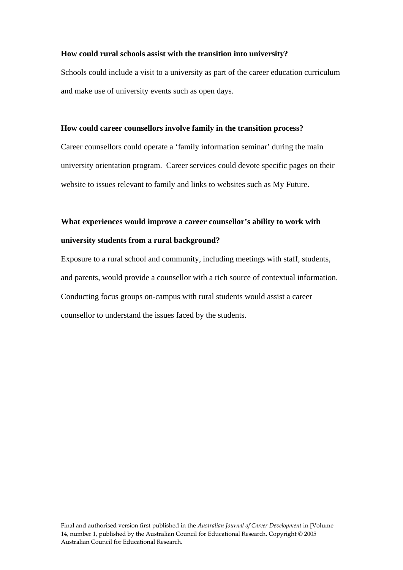#### **How could rural schools assist with the transition into university?**

Schools could include a visit to a university as part of the career education curriculum and make use of university events such as open days.

#### **How could career counsellors involve family in the transition process?**

Career counsellors could operate a 'family information seminar' during the main university orientation program. Career services could devote specific pages on their website to issues relevant to family and links to websites such as My Future.

# **What experiences would improve a career counsellor's ability to work with university students from a rural background?**

Exposure to a rural school and community, including meetings with staff, students, and parents, would provide a counsellor with a rich source of contextual information. Conducting focus groups on-campus with rural students would assist a career counsellor to understand the issues faced by the students.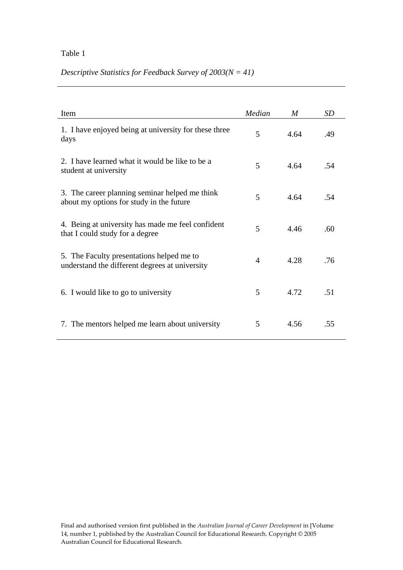## Table 1

## *Descriptive Statistics for Feedback Survey of 2003(N = 41)*

| Item                                                                                        | Median         | M    | SD  |
|---------------------------------------------------------------------------------------------|----------------|------|-----|
| 1. I have enjoyed being at university for these three<br>days                               | 5              | 4.64 | .49 |
| 2. I have learned what it would be like to be a<br>student at university                    | 5              | 4.64 | .54 |
| 3. The career planning seminar helped me think<br>about my options for study in the future  | 5              | 4.64 | .54 |
| 4. Being at university has made me feel confident<br>that I could study for a degree        | 5              | 4.46 | .60 |
| 5. The Faculty presentations helped me to<br>understand the different degrees at university | $\overline{A}$ | 4.28 | .76 |
| 6. I would like to go to university                                                         | 5              | 4.72 | .51 |
| 7. The mentors helped me learn about university                                             | 5              | 4.56 | .55 |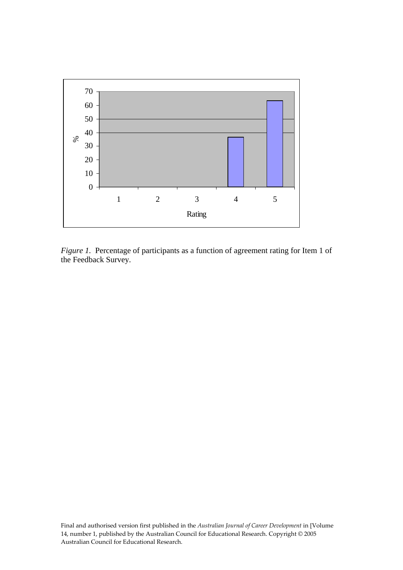

*Figure 1.* Percentage of participants as a function of agreement rating for Item 1 of the Feedback Survey.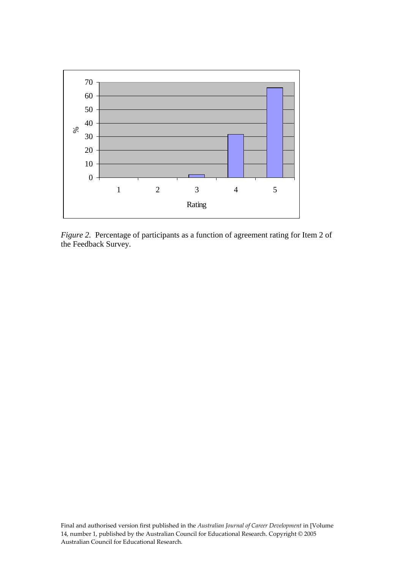

*Figure 2.* Percentage of participants as a function of agreement rating for Item 2 of the Feedback Survey.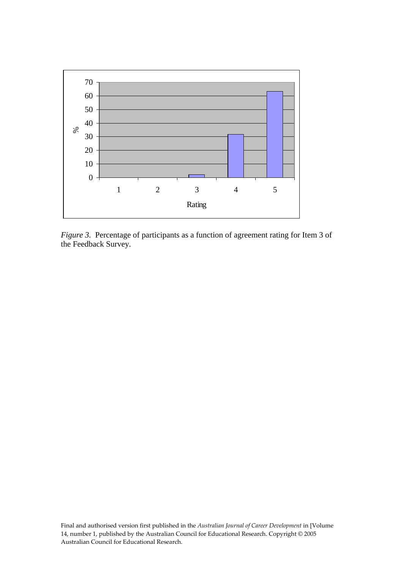

*Figure 3.* Percentage of participants as a function of agreement rating for Item 3 of the Feedback Survey.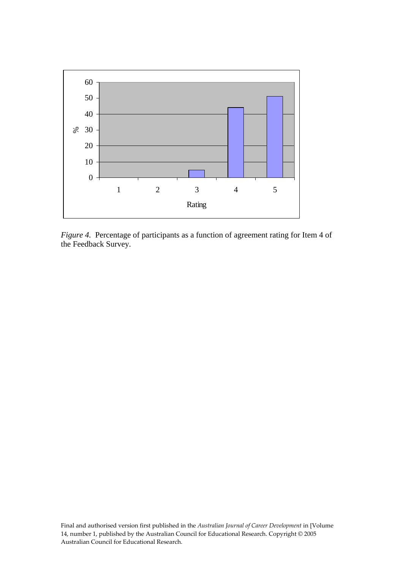

*Figure 4.* Percentage of participants as a function of agreement rating for Item 4 of the Feedback Survey.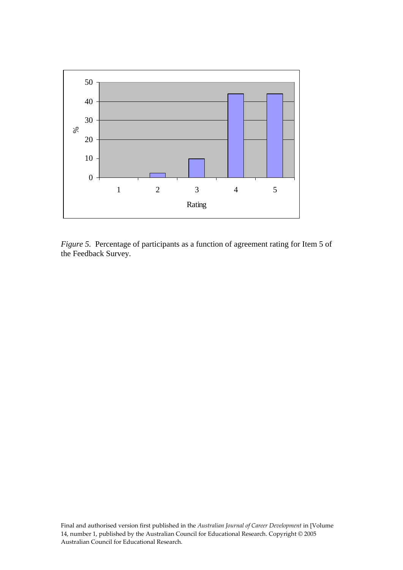

*Figure 5.* Percentage of participants as a function of agreement rating for Item 5 of the Feedback Survey.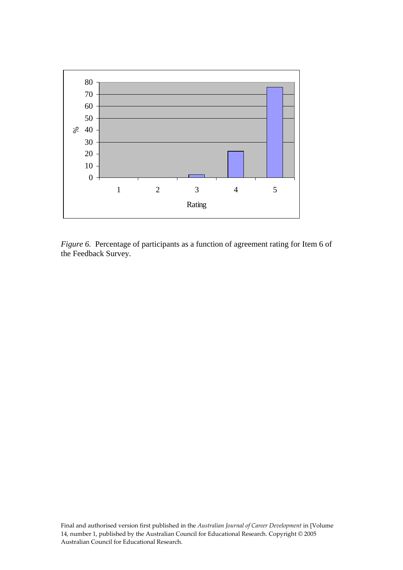

*Figure 6.* Percentage of participants as a function of agreement rating for Item 6 of the Feedback Survey.